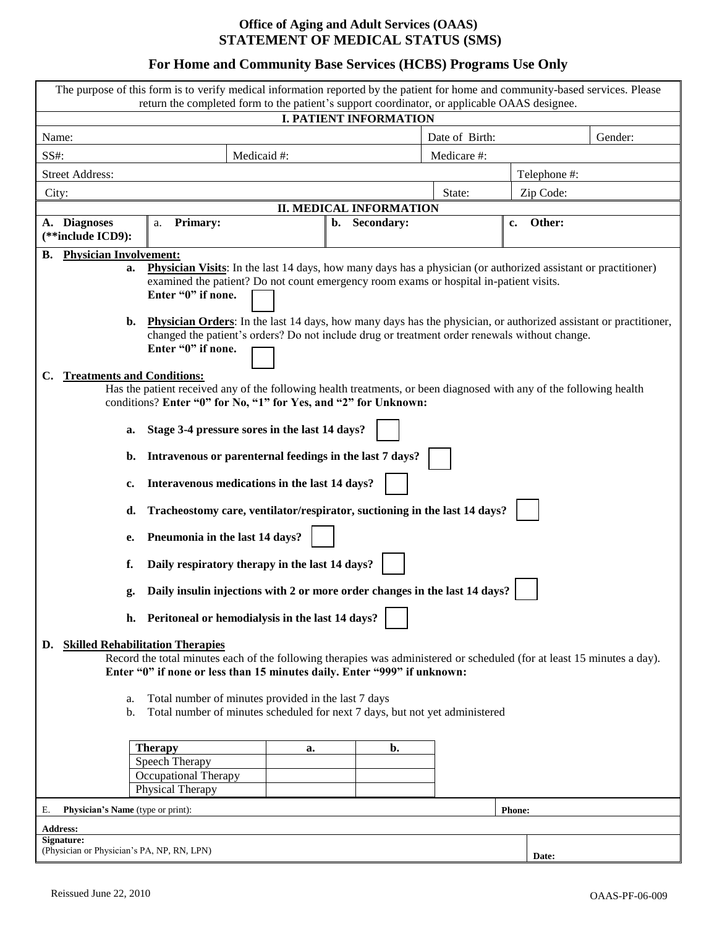# **For Home and Community Base Services (HCBS) Programs Use Only**

| The purpose of this form is to verify medical information reported by the patient for home and community-based services. Please<br>return the completed form to the patient's support coordinator, or applicable OAAS designee.                                                                                                                                              |                                                                                                                     |                |              |  |
|------------------------------------------------------------------------------------------------------------------------------------------------------------------------------------------------------------------------------------------------------------------------------------------------------------------------------------------------------------------------------|---------------------------------------------------------------------------------------------------------------------|----------------|--------------|--|
| <b>I. PATIENT INFORMATION</b>                                                                                                                                                                                                                                                                                                                                                |                                                                                                                     |                |              |  |
| Name:                                                                                                                                                                                                                                                                                                                                                                        |                                                                                                                     | Date of Birth: | Gender:      |  |
| SS#:                                                                                                                                                                                                                                                                                                                                                                         | Medicaid #:                                                                                                         | Medicare #:    |              |  |
| <b>Street Address:</b>                                                                                                                                                                                                                                                                                                                                                       |                                                                                                                     |                | Telephone #: |  |
| City:                                                                                                                                                                                                                                                                                                                                                                        |                                                                                                                     | State:         | Zip Code:    |  |
| <b>II. MEDICAL INFORMATION</b>                                                                                                                                                                                                                                                                                                                                               |                                                                                                                     |                |              |  |
| A. Diagnoses                                                                                                                                                                                                                                                                                                                                                                 | Secondary:<br><b>Primary:</b><br>b.<br>a.                                                                           |                | Other:<br>c. |  |
| (**include ICD9):                                                                                                                                                                                                                                                                                                                                                            |                                                                                                                     |                |              |  |
| <b>Physician Involvement:</b><br>В.                                                                                                                                                                                                                                                                                                                                          |                                                                                                                     |                |              |  |
| <b>Physician Visits:</b> In the last 14 days, how many days has a physician (or authorized assistant or practitioner)<br>a.<br>examined the patient? Do not count emergency room exams or hospital in-patient visits.<br>Enter "0" if none.<br><b>Physician Orders:</b> In the last 14 days, how many days has the physician, or authorized assistant or practitioner,<br>b. |                                                                                                                     |                |              |  |
|                                                                                                                                                                                                                                                                                                                                                                              | changed the patient's orders? Do not include drug or treatment order renewals without change.<br>Enter "0" if none. |                |              |  |
| <b>Treatments and Conditions:</b><br>$\mathbf{C}$                                                                                                                                                                                                                                                                                                                            |                                                                                                                     |                |              |  |
| Has the patient received any of the following health treatments, or been diagnosed with any of the following health                                                                                                                                                                                                                                                          |                                                                                                                     |                |              |  |
| conditions? Enter "0" for No, "1" for Yes, and "2" for Unknown:                                                                                                                                                                                                                                                                                                              |                                                                                                                     |                |              |  |
| Stage 3-4 pressure sores in the last 14 days?<br>a.                                                                                                                                                                                                                                                                                                                          |                                                                                                                     |                |              |  |
| Intravenous or parenternal feedings in the last 7 days?<br>b.                                                                                                                                                                                                                                                                                                                |                                                                                                                     |                |              |  |
|                                                                                                                                                                                                                                                                                                                                                                              | Interavenous medications in the last 14 days?<br>c.                                                                 |                |              |  |
| Tracheostomy care, ventilator/respirator, suctioning in the last 14 days?<br>d.                                                                                                                                                                                                                                                                                              |                                                                                                                     |                |              |  |
| Pneumonia in the last 14 days?<br>e.                                                                                                                                                                                                                                                                                                                                         |                                                                                                                     |                |              |  |
| Daily respiratory therapy in the last 14 days?<br>f.                                                                                                                                                                                                                                                                                                                         |                                                                                                                     |                |              |  |
| Daily insulin injections with 2 or more order changes in the last 14 days?<br>g.                                                                                                                                                                                                                                                                                             |                                                                                                                     |                |              |  |
| h. Peritoneal or hemodialysis in the last 14 days?                                                                                                                                                                                                                                                                                                                           |                                                                                                                     |                |              |  |
| <b>Skilled Rehabilitation Therapies</b><br>D.<br>Record the total minutes each of the following therapies was administered or scheduled (for at least 15 minutes a day).<br>Enter "0" if none or less than 15 minutes daily. Enter "999" if unknown:                                                                                                                         |                                                                                                                     |                |              |  |
| Total number of minutes provided in the last 7 days<br>a.                                                                                                                                                                                                                                                                                                                    |                                                                                                                     |                |              |  |
| Total number of minutes scheduled for next 7 days, but not yet administered<br>b.                                                                                                                                                                                                                                                                                            |                                                                                                                     |                |              |  |
|                                                                                                                                                                                                                                                                                                                                                                              |                                                                                                                     |                |              |  |
|                                                                                                                                                                                                                                                                                                                                                                              | <b>Therapy</b><br>a.                                                                                                | b.             |              |  |
|                                                                                                                                                                                                                                                                                                                                                                              | Speech Therapy                                                                                                      |                |              |  |
|                                                                                                                                                                                                                                                                                                                                                                              | Occupational Therapy                                                                                                |                |              |  |
|                                                                                                                                                                                                                                                                                                                                                                              | Physical Therapy                                                                                                    |                |              |  |
| Physician's Name (type or print):<br><b>Phone:</b><br>Е.                                                                                                                                                                                                                                                                                                                     |                                                                                                                     |                |              |  |
| <b>Address:</b>                                                                                                                                                                                                                                                                                                                                                              |                                                                                                                     |                |              |  |
| Signature:                                                                                                                                                                                                                                                                                                                                                                   |                                                                                                                     |                |              |  |
| (Physician or Physician's PA, NP, RN, LPN)<br>Date:                                                                                                                                                                                                                                                                                                                          |                                                                                                                     |                |              |  |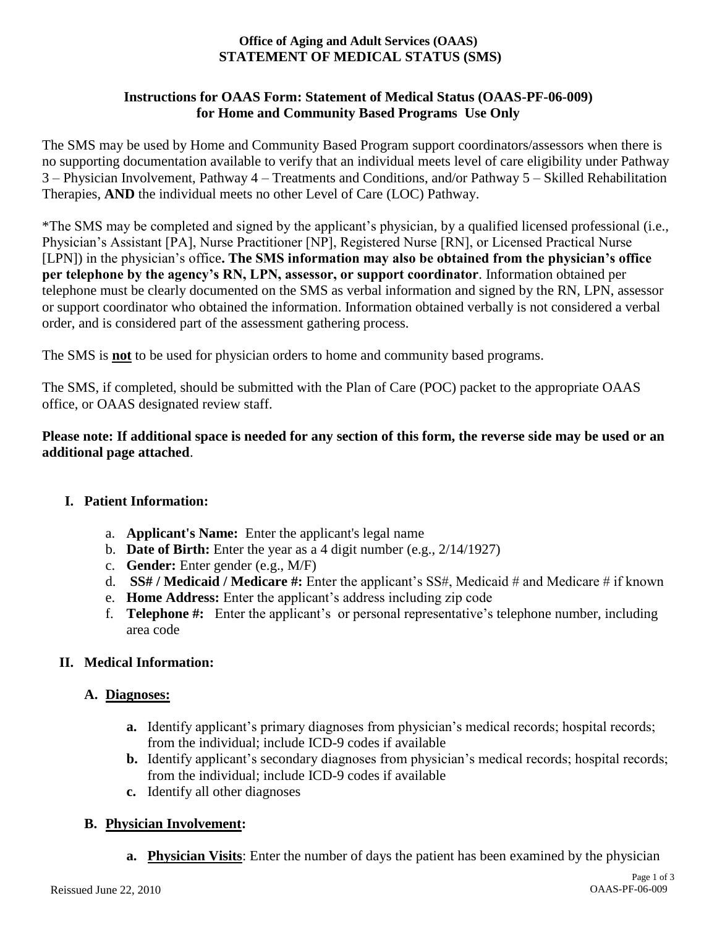# **Instructions for OAAS Form: Statement of Medical Status (OAAS-PF-06-009) for Home and Community Based Programs Use Only**

The SMS may be used by Home and Community Based Program support coordinators/assessors when there is no supporting documentation available to verify that an individual meets level of care eligibility under Pathway 3 – Physician Involvement, Pathway 4 – Treatments and Conditions, and/or Pathway 5 – Skilled Rehabilitation Therapies, **AND** the individual meets no other Level of Care (LOC) Pathway.

\*The SMS may be completed and signed by the applicant's physician, by a qualified licensed professional (i.e., Physician's Assistant [PA], Nurse Practitioner [NP], Registered Nurse [RN], or Licensed Practical Nurse [LPN]) in the physician's office**. The SMS information may also be obtained from the physician's office per telephone by the agency's RN, LPN, assessor, or support coordinator**. Information obtained per telephone must be clearly documented on the SMS as verbal information and signed by the RN, LPN, assessor or support coordinator who obtained the information. Information obtained verbally is not considered a verbal order, and is considered part of the assessment gathering process.

The SMS is **not** to be used for physician orders to home and community based programs.

The SMS, if completed, should be submitted with the Plan of Care (POC) packet to the appropriate OAAS office, or OAAS designated review staff.

# **Please note: If additional space is needed for any section of this form, the reverse side may be used or an additional page attached**.

# **I. Patient Information:**

- a. **Applicant's Name:** Enter the applicant's legal name
- b. **Date of Birth:** Enter the year as a 4 digit number (e.g., 2/14/1927)
- c. **Gender:** Enter gender (e.g., M/F)
- d. **SS# / Medicaid / Medicare #:** Enter the applicant's SS#, Medicaid # and Medicare # if known
- e. **Home Address:** Enter the applicant's address including zip code
- f. **Telephone #:** Enter the applicant's or personal representative's telephone number, including area code

# **II. Medical Information:**

#### **A. Diagnoses:**

- **a.** Identify applicant's primary diagnoses from physician's medical records; hospital records; from the individual; include ICD-9 codes if available
- **b.** Identify applicant's secondary diagnoses from physician's medical records; hospital records; from the individual; include ICD-9 codes if available
- **c.** Identify all other diagnoses

# **B. Physician Involvement:**

**a. Physician Visits**: Enter the number of days the patient has been examined by the physician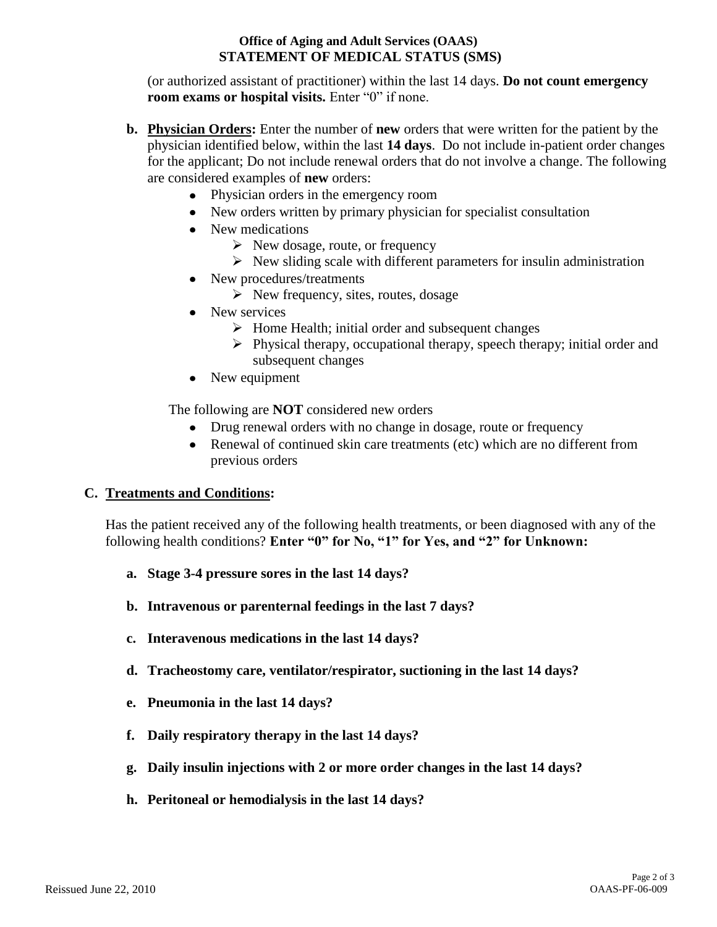(or authorized assistant of practitioner) within the last 14 days. **Do not count emergency room exams or hospital visits.** Enter "0" if none.

- **b. Physician Orders:** Enter the number of **new** orders that were written for the patient by the physician identified below, within the last **14 days**. Do not include in-patient order changes for the applicant; Do not include renewal orders that do not involve a change. The following are considered examples of **new** orders:
	- Physician orders in the emergency room
	- New orders written by primary physician for specialist consultation
	- New medications
		- $\triangleright$  New dosage, route, or frequency
		- $\triangleright$  New sliding scale with different parameters for insulin administration
	- New procedures/treatments
		- $\triangleright$  New frequency, sites, routes, dosage
	- New services
		- $\triangleright$  Home Health; initial order and subsequent changes
		- $\triangleright$  Physical therapy, occupational therapy, speech therapy; initial order and subsequent changes
	- New equipment

The following are **NOT** considered new orders

- Drug renewal orders with no change in dosage, route or frequency
- Renewal of continued skin care treatments (etc) which are no different from previous orders

# **C. Treatments and Conditions:**

Has the patient received any of the following health treatments, or been diagnosed with any of the following health conditions? **Enter "0" for No, "1" for Yes, and "2" for Unknown:**

- **a. Stage 3-4 pressure sores in the last 14 days?**
- **b. Intravenous or parenternal feedings in the last 7 days?**
- **c. Interavenous medications in the last 14 days?**
- **d. Tracheostomy care, ventilator/respirator, suctioning in the last 14 days?**
- **e. Pneumonia in the last 14 days?**
- **f. Daily respiratory therapy in the last 14 days?**
- **g. Daily insulin injections with 2 or more order changes in the last 14 days?**
- **h. Peritoneal or hemodialysis in the last 14 days?**